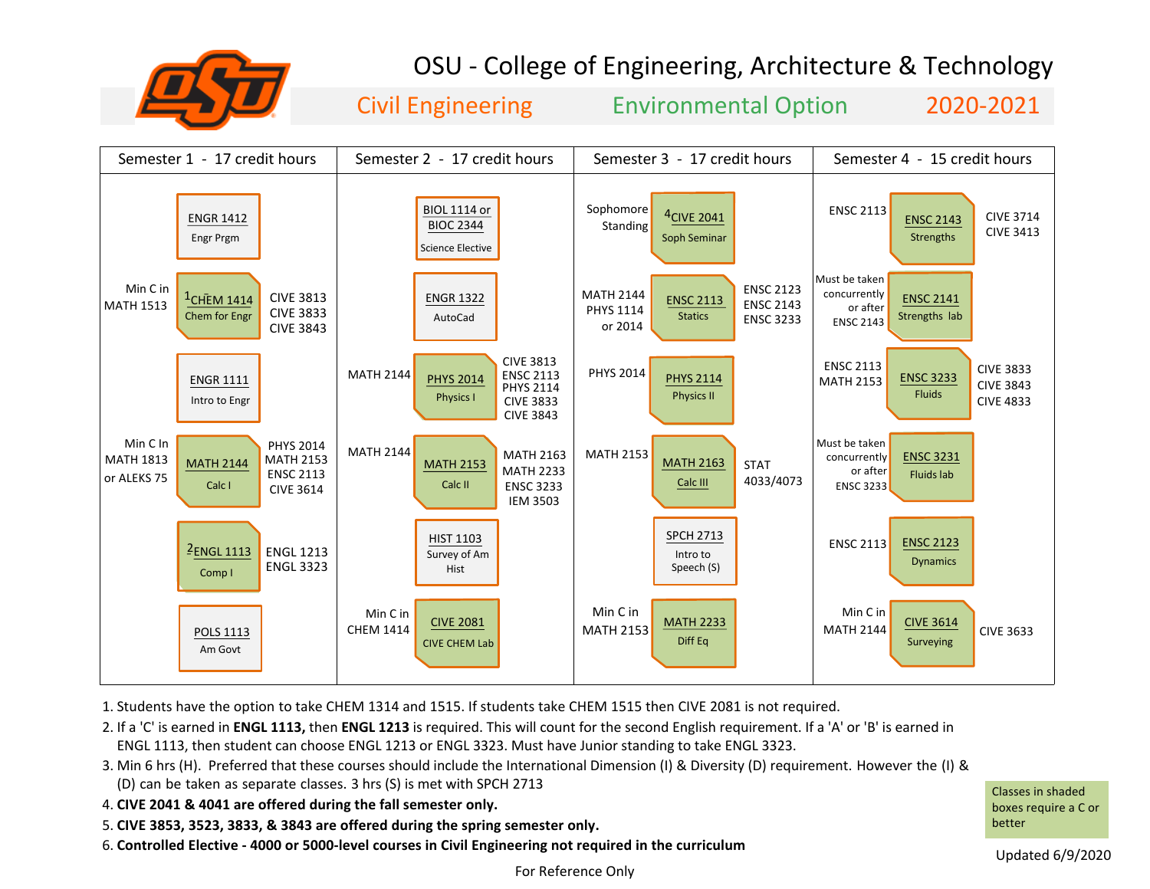

## OSU - College of Engineering, Architecture & Technology

Civil Engineering Environmental Option 2020-2021



1. Students have the option to take CHEM 1314 and 1515. If students take CHEM 1515 then CIVE 2081 is not required.

2. If a 'C' is earned in **ENGL 1113,** then **ENGL 1213** is required. This will count for the second English requirement. If a 'A' or 'B' is earned in ENGL 1113, then student can choose ENGL 1213 or ENGL 3323. Must have Junior standing to take ENGL 3323.

- 3. Min 6 hrs (H). Preferred that these courses should include the International Dimension (I) & Diversity (D) requirement. However the (I) & (D) can be taken as separate classes. 3 hrs (S) is met with SPCH 2713
- 4. **CIVE 2041 & 4041 are offered during the fall semester only.**
- 5. **CIVE 3853, 3523, 3833, & 3843 are offered during the spring semester only.**
- 6. **Controlled Elective 4000 or 5000-level courses in Civil Engineering not required in the curriculum**

Classes in shaded boxes require a C or better